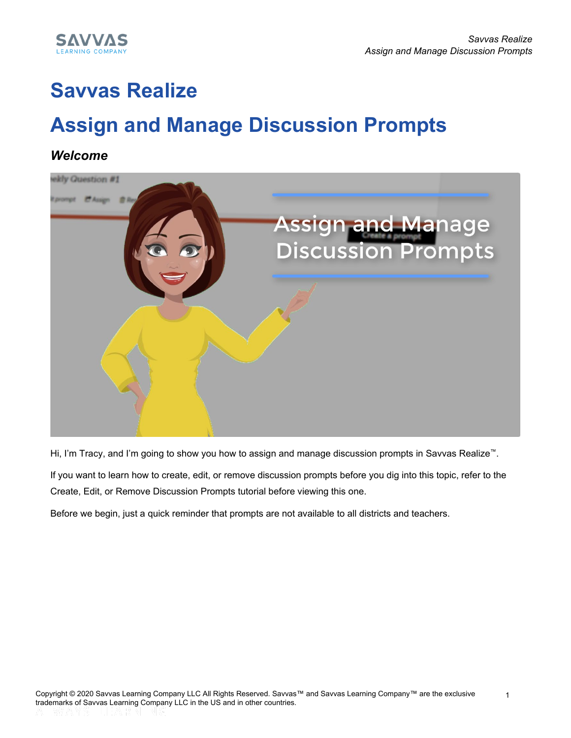

## **Savvas Realize**

# **Assign and Manage Discussion Prompts**

#### *Welcome*



Hi, I'm Tracy, and I'm going to show you how to assign and manage discussion prompts in Savvas Realize™.

If you want to learn how to create, edit, or remove discussion prompts before you dig into this topic, refer to the Create, Edit, or Remove Discussion Prompts tutorial before viewing this one.

Before we begin, just a quick reminder that prompts are not available to all districts and teachers.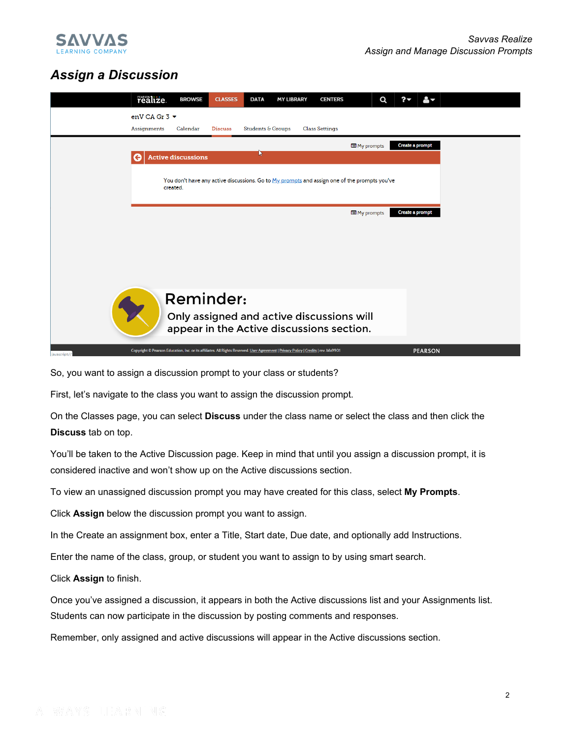

### *Assign a Discussion*



So, you want to assign a discussion prompt to your class or students?

First, let's navigate to the class you want to assign the discussion prompt.

On the Classes page, you can select **Discuss** under the class name or select the class and then click the **Discuss** tab on top.

You'll be taken to the Active Discussion page. Keep in mind that until you assign a discussion prompt, it is considered inactive and won't show up on the Active discussions section.

To view an unassigned discussion prompt you may have created for this class, select **My Prompts**.

Click **Assign** below the discussion prompt you want to assign.

In the Create an assignment box, enter a Title, Start date, Due date, and optionally add Instructions.

Enter the name of the class, group, or student you want to assign to by using smart search.

Click **Assign** to finish.

Once you've assigned a discussion, it appears in both the Active discussions list and your Assignments list. Students can now participate in the discussion by posting comments and responses.

Remember, only assigned and active discussions will appear in the Active discussions section.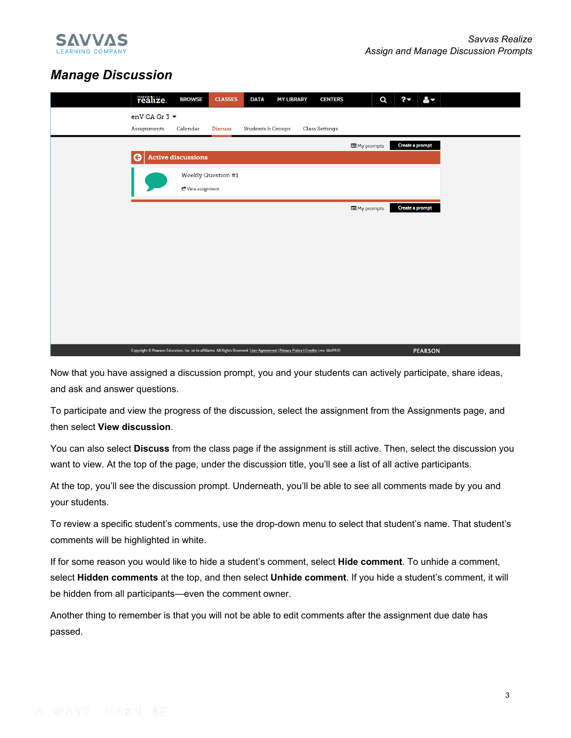

#### *Manage Discussion*

| realize.                                                                                                                             | <b>BROWSE</b>             | <b>CLASSES</b>            | <b>DATA</b>       | <b>MY LIBRARY</b> |                       | <b>CENTERS</b> |            | Q | ?                      | $\mathbf{e}_{\mathbf{v}}$ |  |  |
|--------------------------------------------------------------------------------------------------------------------------------------|---------------------------|---------------------------|-------------------|-------------------|-----------------------|----------------|------------|---|------------------------|---------------------------|--|--|
| enV CA Gr 3 ▼                                                                                                                        |                           |                           |                   |                   |                       |                |            |   |                        |                           |  |  |
| <b>Assignments</b>                                                                                                                   | Calendar                  | <b>Discuss</b>            | Students & Groups |                   | <b>Class Settings</b> |                |            |   |                        |                           |  |  |
|                                                                                                                                      |                           |                           |                   |                   |                       |                | My prompts |   | <b>Create a prompt</b> |                           |  |  |
| G                                                                                                                                    | <b>Active discussions</b> |                           |                   |                   |                       |                |            |   |                        |                           |  |  |
|                                                                                                                                      |                           | <b>Weekly Question #1</b> |                   |                   |                       |                |            |   |                        |                           |  |  |
|                                                                                                                                      | C View assignment         |                           |                   |                   |                       |                |            |   |                        |                           |  |  |
|                                                                                                                                      |                           |                           |                   |                   |                       |                | My prompts |   | Create a prompt        |                           |  |  |
|                                                                                                                                      |                           |                           |                   |                   |                       |                |            |   |                        |                           |  |  |
|                                                                                                                                      |                           |                           |                   |                   |                       |                |            |   |                        |                           |  |  |
|                                                                                                                                      |                           |                           |                   |                   |                       |                |            |   |                        |                           |  |  |
|                                                                                                                                      |                           |                           |                   |                   |                       |                |            |   |                        |                           |  |  |
|                                                                                                                                      |                           |                           |                   |                   |                       |                |            |   |                        |                           |  |  |
|                                                                                                                                      |                           |                           |                   |                   |                       |                |            |   |                        |                           |  |  |
|                                                                                                                                      |                           |                           |                   |                   |                       |                |            |   |                        |                           |  |  |
|                                                                                                                                      |                           |                           |                   |                   |                       |                |            |   |                        |                           |  |  |
|                                                                                                                                      |                           |                           |                   |                   |                       |                |            |   |                        |                           |  |  |
| Copyright © Pearson Education, Inc. or its affiliates. All Rights Reserved. User Agreement   Privacy Policy   Credits   rev. bfa9901 |                           |                           |                   |                   |                       |                |            |   |                        | <b>PEARSON</b>            |  |  |

Now that you have assigned a discussion prompt, you and your students can actively participate, share ideas, and ask and answer questions.

To participate and view the progress of the discussion, select the assignment from the Assignments page, and then select **View discussion**.

You can also select **Discuss** from the class page if the assignment is still active. Then, select the discussion you want to view. At the top of the page, under the discussion title, you'll see a list of all active participants.

At the top, you'll see the discussion prompt. Underneath, you'll be able to see all comments made by you and your students.

To review a specific student's comments, use the drop-down menu to select that student's name. That student's comments will be highlighted in white.

If for some reason you would like to hide a student's comment, select **Hide comment**. To unhide a comment, select **Hidden comments** at the top, and then select **Unhide comment**. If you hide a student's comment, it will be hidden from all participants—even the comment owner.

Another thing to remember is that you will not be able to edit comments after the assignment due date has passed.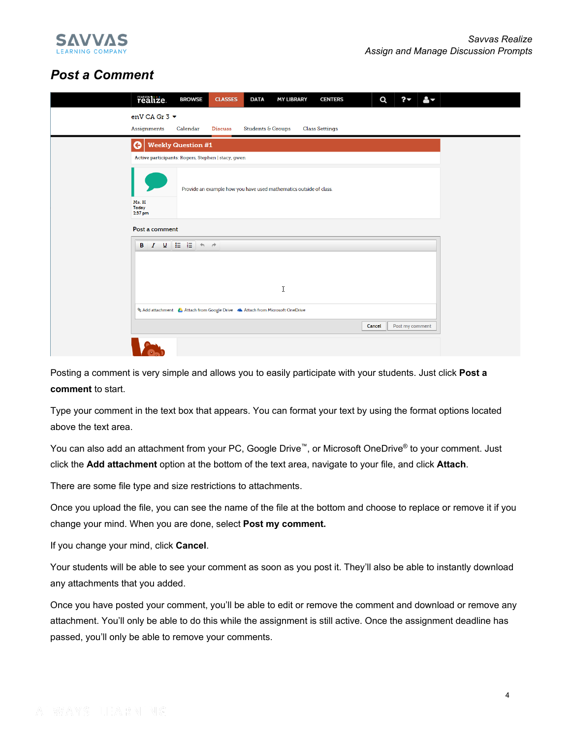

#### *Post a Comment*

| realize.<br><b>BROWSE</b>      | <b>CLASSES</b><br><b>DATA</b>                                              | <b>MY LIBRARY</b> | <b>CENTERS</b>        | Q      | ?               | $\mathbf{a}_{\nabla}$ |  |  |  |  |  |
|--------------------------------|----------------------------------------------------------------------------|-------------------|-----------------------|--------|-----------------|-----------------------|--|--|--|--|--|
| enV CA Gr 3 ▼                  |                                                                            |                   |                       |        |                 |                       |  |  |  |  |  |
| <b>Assignments</b><br>Calendar | Students & Groups<br><b>Discuss</b>                                        |                   | <b>Class Settings</b> |        |                 |                       |  |  |  |  |  |
| $\Theta$                       | <b>Weekly Question #1</b>                                                  |                   |                       |        |                 |                       |  |  |  |  |  |
|                                | Active participants: Rogers, Stephen   stacy, gwen                         |                   |                       |        |                 |                       |  |  |  |  |  |
|                                | Provide an example how you have used mathematics outside of class.         |                   |                       |        |                 |                       |  |  |  |  |  |
| Ms. H<br>Today<br>2:37 pm      |                                                                            |                   |                       |        |                 |                       |  |  |  |  |  |
| Post a comment                 |                                                                            |                   |                       |        |                 |                       |  |  |  |  |  |
| 및 든 든<br>$\ I\ $<br>В          | $A$ 4                                                                      |                   |                       |        |                 |                       |  |  |  |  |  |
|                                |                                                                            |                   |                       |        |                 |                       |  |  |  |  |  |
|                                | I                                                                          |                   |                       |        |                 |                       |  |  |  |  |  |
|                                | Add attachment & Attach from Google Drive & Attach from Microsoft OneDrive |                   |                       |        |                 |                       |  |  |  |  |  |
|                                |                                                                            |                   |                       | Cancel | Post my comment |                       |  |  |  |  |  |
|                                |                                                                            |                   |                       |        |                 |                       |  |  |  |  |  |

Posting a comment is very simple and allows you to easily participate with your students. Just click **Post a comment** to start.

Type your comment in the text box that appears. You can format your text by using the format options located above the text area.

You can also add an attachment from your PC, Google Drive™, or Microsoft OneDrive® to your comment. Just click the **Add attachment** option at the bottom of the text area, navigate to your file, and click **Attach**.

There are some file type and size restrictions to attachments.

Once you upload the file, you can see the name of the file at the bottom and choose to replace or remove it if you change your mind. When you are done, select **Post my comment.**

If you change your mind, click **Cancel**.

Your students will be able to see your comment as soon as you post it. They'll also be able to instantly download any attachments that you added.

Once you have posted your comment, you'll be able to edit or remove the comment and download or remove any attachment. You'll only be able to do this while the assignment is still active. Once the assignment deadline has passed, you'll only be able to remove your comments.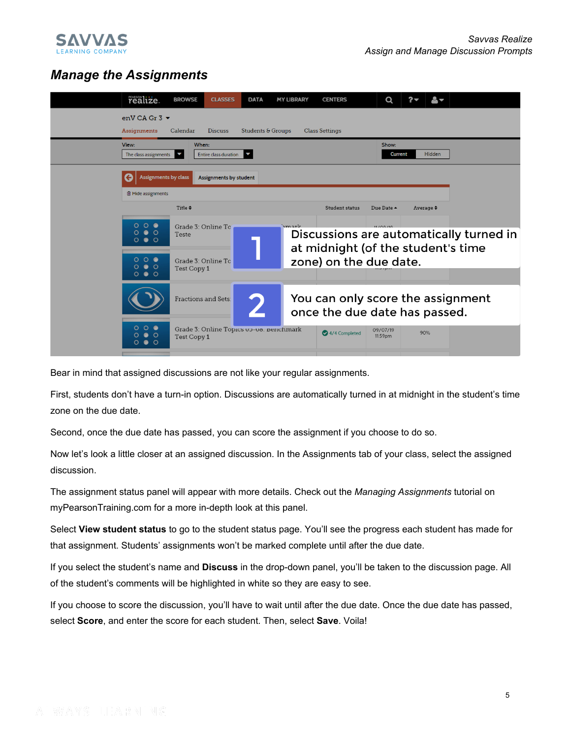

### *Manage the Assignments*

| realize.                                                 | <b>BROWSE</b>       | <b>CLASSES</b>                          | <b>DATA</b>              | <b>MY LIBRARY</b> | <b>CENTERS</b>                                                     | Q                                       |                |               |  |
|----------------------------------------------------------|---------------------|-----------------------------------------|--------------------------|-------------------|--------------------------------------------------------------------|-----------------------------------------|----------------|---------------|--|
| enV CA Gr $3 \blacktriangleright$<br>Assignments         | Calendar            | <b>Discuss</b>                          | Students & Groups        |                   | <b>Class Settings</b>                                              |                                         |                |               |  |
| View:<br>The class assignments                           | When:               | Entire class duration                   | $\overline{\phantom{a}}$ |                   |                                                                    | Show:<br><b>Current</b>                 |                | <b>Hidden</b> |  |
| Assignments by class                                     |                     | Assignments by student                  |                          |                   |                                                                    |                                         |                |               |  |
| <b>■ Hide assignments</b>                                | Title $\div$        |                                         |                          |                   | <b>Student status</b>                                              | Due Date $\triangle$                    | Average $\div$ |               |  |
| 000                                                      | Grade 3: Online To  |                                         |                          | mark              |                                                                    |                                         |                |               |  |
| $\bullet$ $\circ$<br>O<br>0 0 0                          | Teste               |                                         |                          |                   | at midnight (of the student's time                                 | Discussions are automatically turned in |                |               |  |
| $\circ$ $\bullet$<br>$\circ$<br>$\bullet$ $\circ$<br>O   | Test Copy 1         | Grade 3: Online To                      |                          |                   | zone) on the due date.                                             |                                         |                |               |  |
| $\bullet$ $\circ$<br>റ                                   |                     |                                         |                          |                   |                                                                    |                                         |                |               |  |
|                                                          | Fractions and Sets: |                                         |                          |                   | You can only score the assignment<br>once the due date has passed. |                                         |                |               |  |
| 000<br>$\bullet$ $\circ$<br>O<br>$\bullet$ $\circ$<br>O. | Test Copy 1         | Grade 3: Online Topics Up-Uo. Benchmark |                          |                   | 4/4 Completed                                                      | 09/07/19<br>11:59pm                     | 90%            |               |  |

Bear in mind that assigned discussions are not like your regular assignments.

First, students don't have a turn-in option. Discussions are automatically turned in at midnight in the student's time zone on the due date.

Second, once the due date has passed, you can score the assignment if you choose to do so.

Now let's look a little closer at an assigned discussion. In the Assignments tab of your class, select the assigned discussion.

The assignment status panel will appear with more details. Check out the *Managing Assignments* tutorial on myPearsonTraining.com for a more in-depth look at this panel.

Select **View student status** to go to the student status page. You'll see the progress each student has made for that assignment. Students' assignments won't be marked complete until after the due date.

If you select the student's name and **Discuss** in the drop-down panel, you'll be taken to the discussion page. All of the student's comments will be highlighted in white so they are easy to see.

If you choose to score the discussion, you'll have to wait until after the due date. Once the due date has passed, select **Score**, and enter the score for each student. Then, select **Save**. Voila!